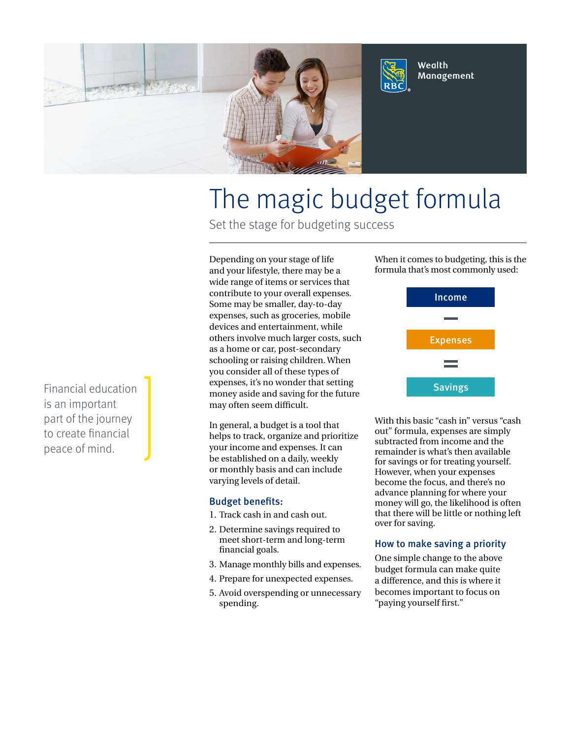

# The magic budget formula

Set the stage for budgeting success

Depending on your stage of life and your lifestyle, there may be a wide range of items or services that contribute to your overall expenses. Some may be smaller, day-to-day expenses, such as groceries, mobile devices and entertainment, while others involve much larger costs, such as a home or car, post-secondary schooling or raising children. When you consider all of these types of expenses, it's no wonder that setting money aside and saving for the future may often seem difficult.

In general, a budget is a tool that helps to track, organize and prioritize your income and expenses. It can be established on a daily, weekly or monthly basis and can include varying levels of detail.

#### Budget benefits:

- 1. Track cash in and cash out.
- 2. Determine savings required to meet short-term and long-term financial goals.
- 3. Manage monthly bills and expenses.
- 4. Prepare for unexpected expenses.
- 5. Avoid overspending or unnecessary spending.

When it comes to budgeting, this is the formula that's most commonly used:



With this basic "cash in" versus "cash out" formula, expenses are simply subtracted from income and the remainder is what's then available for savings or for treating yourself. However, when your expenses become the focus, and there's no advance planning for where your money will go, the likelihood is often that there will be little or nothing left over for saving.

#### How to make saving a priority

One simple change to the above budget formula can make quite a difference, and this is where it becomes important to focus on "paying yourself first."

Financial education is an important part of the journey to create financial peace of mind.